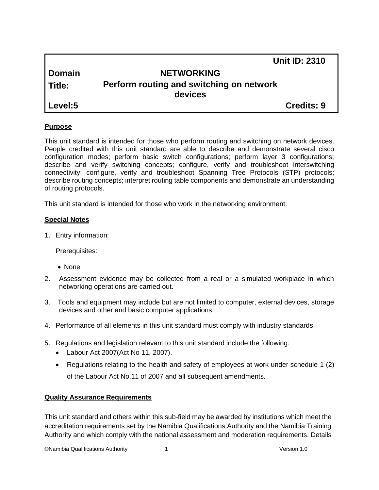|               | <b>Unit ID: 2310</b>                     |
|---------------|------------------------------------------|
| <b>Domain</b> | <b>NETWORKING</b>                        |
| l Title:      | Perform routing and switching on network |
|               | devices                                  |
| Level:5       | <b>Credits: 9</b>                        |

## **Purpose**

This unit standard is intended for those who perform routing and switching on network devices. People credited with this unit standard are able to describe and demonstrate several cisco configuration modes; perform basic switch configurations; perform layer 3 configurations; describe and verify switching concepts; configure, verify and troubleshoot interswitching connectivity; configure, verify and troubleshoot Spanning Tree Protocols (STP) protocols; describe routing concepts; interpret routing table components and demonstrate an understanding of routing protocols.

This unit standard is intended for those who work in the networking environment.

## **Special Notes**

1. Entry information:

Prerequisites:

- None
- 2. Assessment evidence may be collected from a real or a simulated workplace in which networking operations are carried out.
- 3. Tools and equipment may include but are not limited to computer, external devices, storage devices and other and basic computer applications.
- 4. Performance of all elements in this unit standard must comply with industry standards.
- 5. Regulations and legislation relevant to this unit standard include the following:
	- Labour Act 2007(Act No 11, 2007).
	- Regulations relating to the health and safety of employees at work under schedule 1 (2) of the Labour Act No.11 of 2007 and all subsequent amendments.

## **Quality Assurance Requirements**

This unit standard and others within this sub-field may be awarded by institutions which meet the accreditation requirements set by the Namibia Qualifications Authority and the Namibia Training Authority and which comply with the national assessment and moderation requirements. Details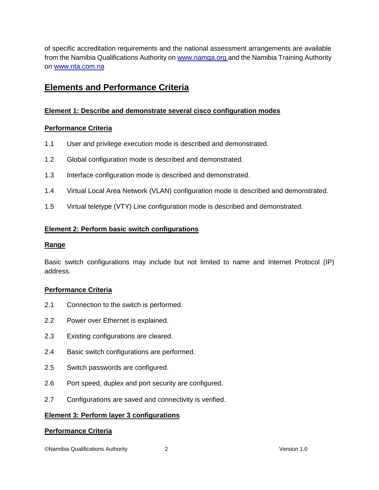of specific accreditation requirements and the national assessment arrangements are available from the Namibia Qualifications Authority o[n www.namqa.org a](http://www.namqa.org/)nd the Namibia Training Authority on [www.nta.com.na](http://www.nta.com.na/)

# **Elements and Performance Criteria**

# **Element 1: Describe and demonstrate several cisco configuration modes**

# **Performance Criteria**

- 1.1 User and privilege execution mode is described and demonstrated.
- 1.2 Global configuration mode is described and demonstrated.
- 1.3 Interface configuration mode is described and demonstrated.
- 1.4 Virtual Local Area Network (VLAN) configuration mode is described and demonstrated.
- 1.5 Virtual teletype (VTY) Line configuration mode is described and demonstrated.

# **Element 2: Perform basic switch configurations**

# **Range**

Basic switch configurations may include but not limited to name and Internet Protocol (IP) address.

# **Performance Criteria**

- 2.1 Connection to the switch is performed.
- 2.2 Power over Ethernet is explained.
- 2.3 Existing configurations are cleared.
- 2.4 Basic switch configurations are performed.
- 2.5 Switch passwords are configured.
- 2.6 Port speed, duplex and port security are configured.
- 2.7 Configurations are saved and connectivity is verified.

# **Element 3: Perform layer 3 configurations**

# **Performance Criteria**

©Namibia Qualifications Authority 2 Version 1.0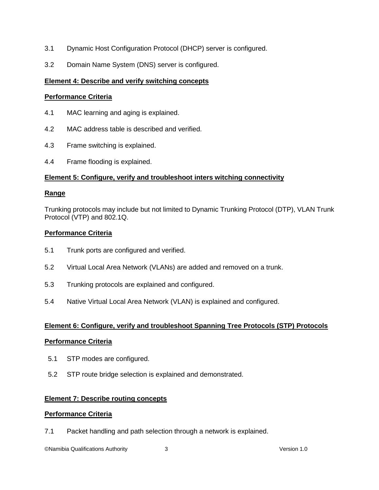- 3.1 Dynamic Host Configuration Protocol (DHCP) server is configured.
- 3.2 Domain Name System (DNS) server is configured.

## **Element 4: Describe and verify switching concepts**

## **Performance Criteria**

- 4.1 MAC learning and aging is explained.
- 4.2 MAC address table is described and verified.
- 4.3 Frame switching is explained.
- 4.4 Frame flooding is explained.

## **Element 5: Configure, verify and troubleshoot inters witching connectivity**

## **Range**

Trunking protocols may include but not limited to Dynamic Trunking Protocol (DTP), VLAN Trunk Protocol (VTP) and 802.1Q.

## **Performance Criteria**

- 5.1 Trunk ports are configured and verified.
- 5.2 Virtual Local Area Network (VLANs) are added and removed on a trunk.
- 5.3 Trunking protocols are explained and configured.
- 5.4 Native Virtual Local Area Network (VLAN) is explained and configured.

## **Element 6: Configure, verify and troubleshoot Spanning Tree Protocols (STP) Protocols**

## **Performance Criteria**

- 5.1 STP modes are configured.
- 5.2 STP route bridge selection is explained and demonstrated.

## **Element 7: Describe routing concepts**

## **Performance Criteria**

7.1 Packet handling and path selection through a network is explained.